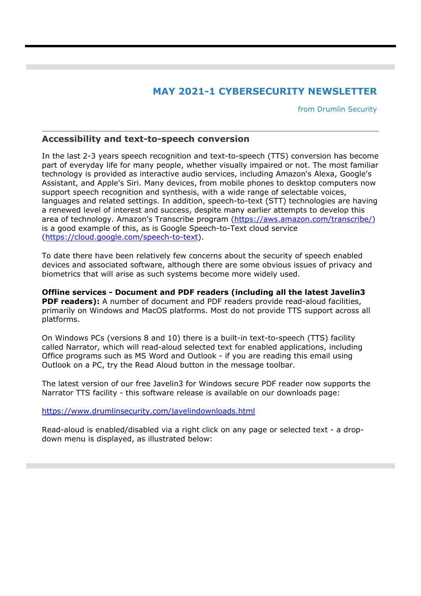## **MAY 2021-1 CYBERSECURITY NEWSLETTER**

from Drumlin Security

## **Accessibility and text-to-speech conversion**

In the last 2-3 years speech recognition and text-to-speech (TTS) conversion has become part of everyday life for many people, whether visually impaired or not. The most familiar technology is provided as interactive audio services, including Amazon's Alexa, Google's Assistant, and Apple's Siri. Many devices, from mobile phones to desktop computers now support speech recognition and synthesis, with a wide range of selectable voices, languages and related settings. In addition, speech-to-text (STT) technologies are having a renewed level of interest and success, despite many earlier attempts to develop this area of technology. Amazon's Transcribe program (https://aws.amazon.com/transcribe/) is a good example of this, as is Google Speech-to-Text cloud service (https://cloud.google.com/speech-to-text).

To date there have been relatively few concerns about the security of speech enabled devices and associated software, although there are some obvious issues of privacy and biometrics that will arise as such systems become more widely used.

**Offline services - Document and PDF readers (including all the latest Javelin3 PDF readers):** A number of document and PDF readers provide read-aloud facilities, primarily on Windows and MacOS platforms. Most do not provide TTS support across all platforms.

On Windows PCs (versions 8 and 10) there is a built-in text-to-speech (TTS) facility called Narrator, which will read-aloud selected text for enabled applications, including Office programs such as MS Word and Outlook - if you are reading this email using Outlook on a PC, try the Read Aloud button in the message toolbar.

The latest version of our free Javelin3 for Windows secure PDF reader now supports the Narrator TTS facility - this software release is available on our downloads page:

https://www.drumlinsecurity.com/javelindownloads.html

Read-aloud is enabled/disabled via a right click on any page or selected text - a dropdown menu is displayed, as illustrated below: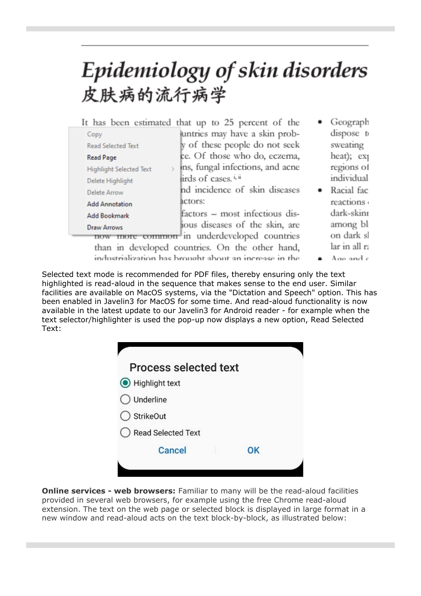## Epidemiology of skin disorders 皮肤病的流行病学

|                                                        |                                                 | It has been estimated that up to 25 percent of the |  | Geograph      |
|--------------------------------------------------------|-------------------------------------------------|----------------------------------------------------|--|---------------|
|                                                        | Copy                                            | untries may have a skin prob-                      |  | dispose to    |
|                                                        | <b>Read Selected Text</b>                       | y of these people do not seek                      |  | sweating      |
|                                                        | <b>Read Page</b>                                | ce. Of those who do, eczema,                       |  | heat); exp    |
|                                                        | <b>Highlight Selected Text</b>                  | ins, fungal infections, and acne                   |  | regions of    |
|                                                        | Delete Highlight                                | lirds of cases. <sup>i, ii</sup>                   |  | individual    |
|                                                        | Delete Arrow                                    | nd incidence of skin diseases                      |  | Racial fac    |
|                                                        | <b>Add Annotation</b>                           | actors:                                            |  | reactions     |
|                                                        | <b>Add Bookmark</b>                             | factors – most infectious dis-                     |  | dark-skint    |
|                                                        | <b>Draw Arrows</b>                              | jous diseases of the skin, are                     |  | among bl      |
| common in underdeveloped countries<br>now              |                                                 |                                                    |  | on dark sl    |
|                                                        | than in developed countries. On the other hand, |                                                    |  | lar in all ra |
| industrialization has brought about an increase in the |                                                 |                                                    |  | Age and c     |

Selected text mode is recommended for PDF files, thereby ensuring only the text highlighted is read-aloud in the sequence that makes sense to the end user. Similar facilities are available on MacOS systems, via the "Dictation and Speech" option. This has been enabled in Javelin3 for MacOS for some time. And read-aloud functionality is now available in the latest update to our Javelin3 for Android reader - for example when the text selector/highlighter is used the pop-up now displays a new option, Read Selected Text:

| <b>Process selected text</b> |    |  |
|------------------------------|----|--|
| Highlight text               |    |  |
| Underline                    |    |  |
| <b>StrikeOut</b>             |    |  |
| Read Selected Text           |    |  |
| Cancel                       | 0K |  |
|                              |    |  |
|                              |    |  |

**Online services - web browsers:** Familiar to many will be the read-aloud facilities provided in several web browsers, for example using the free Chrome read-aloud extension. The text on the web page or selected block is displayed in large format in a new window and read-aloud acts on the text block-by-block, as illustrated below: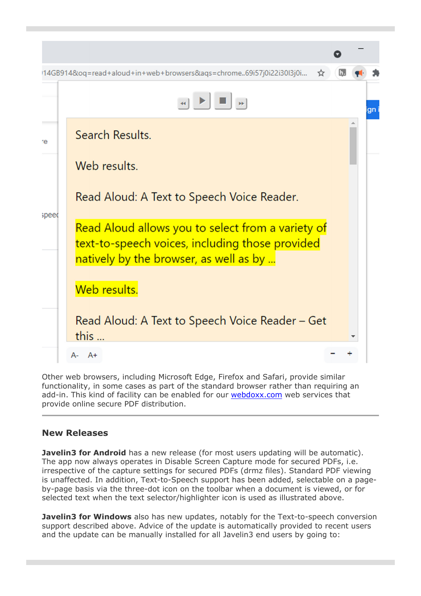

Other web browsers, including Microsoft Edge, Firefox and Safari, provide similar functionality, in some cases as part of the standard browser rather than requiring an add-in. This kind of facility can be enabled for our webdoxx.com web services that provide online secure PDF distribution.

## **New Releases**

**Javelin3 for Android** has a new release (for most users updating will be automatic). The app now always operates in Disable Screen Capture mode for secured PDFs, i.e. irrespective of the capture settings for secured PDFs (drmz files). Standard PDF viewing is unaffected. In addition, Text-to-Speech support has been added, selectable on a pageby-page basis via the three-dot icon on the toolbar when a document is viewed, or for selected text when the text selector/highlighter icon is used as illustrated above.

**Javelin3 for Windows** also has new updates, notably for the Text-to-speech conversion support described above. Advice of the update is automatically provided to recent users and the update can be manually installed for all Javelin3 end users by going to: